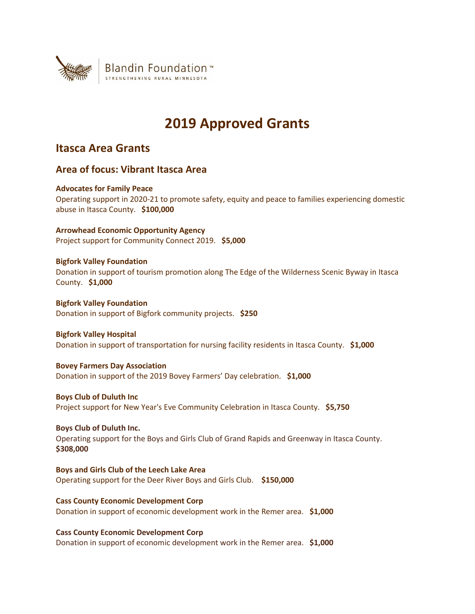

# **2019 Approved Grants**

# **Itasca Area Grants**

# **Area of focus: Vibrant Itasca Area**

# **Advocates for Family Peace**

Operating support in 2020-21 to promote safety, equity and peace to families experiencing domestic abuse in Itasca County. **\$100,000**

**Arrowhead Economic Opportunity Agency** Project support for Community Connect 2019. **\$5,000**

# **Bigfork Valley Foundation**

Donation in support of tourism promotion along The Edge of the Wilderness Scenic Byway in Itasca County. **\$1,000**

**Bigfork Valley Foundation** Donation in support of Bigfork community projects. **\$250**

# **Bigfork Valley Hospital**

Donation in support of transportation for nursing facility residents in Itasca County. **\$1,000**

# **Bovey Farmers Day Association**

Donation in support of the 2019 Bovey Farmers' Day celebration. **\$1,000**

**Boys Club of Duluth Inc**

Project support for New Year's Eve Community Celebration in Itasca County. **\$5,750**

# **Boys Club of Duluth Inc.**

Operating support for the Boys and Girls Club of Grand Rapids and Greenway in Itasca County. **\$308,000**

**Boys and Girls Club of the Leech Lake Area** Operating support for the Deer River Boys and Girls Club. **\$150,000**

**Cass County Economic Development Corp** Donation in support of economic development work in the Remer area. **\$1,000**

**Cass County Economic Development Corp**

Donation in support of economic development work in the Remer area. **\$1,000**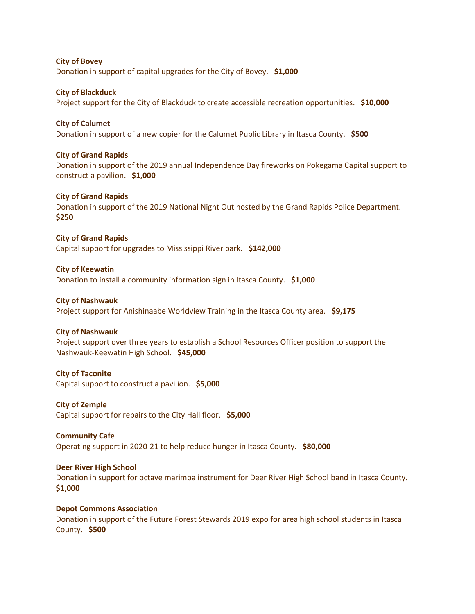**City of Bovey** Donation in support of capital upgrades for the City of Bovey. **\$1,000**

**City of Blackduck** Project support for the City of Blackduck to create accessible recreation opportunities. **\$10,000**

**City of Calumet** Donation in support of a new copier for the Calumet Public Library in Itasca County. **\$500**

# **City of Grand Rapids**

Donation in support of the 2019 annual Independence Day fireworks on Pokegama Capital support to construct a pavilion. **\$1,000**

# **City of Grand Rapids**

Donation in support of the 2019 National Night Out hosted by the Grand Rapids Police Department. **\$250**

**City of Grand Rapids** Capital support for upgrades to Mississippi River park. **\$142,000**

#### **City of Keewatin**

Donation to install a community information sign in Itasca County. **\$1,000**

#### **City of Nashwauk**

Project support for Anishinaabe Worldview Training in the Itasca County area. **\$9,175**

#### **City of Nashwauk**

Project support over three years to establish a School Resources Officer position to support the Nashwauk-Keewatin High School. **\$45,000**

#### **City of Taconite**

Capital support to construct a pavilion. **\$5,000**

# **City of Zemple**

Capital support for repairs to the City Hall floor. **\$5,000**

#### **Community Cafe**

Operating support in 2020-21 to help reduce hunger in Itasca County. **\$80,000**

# **Deer River High School**

Donation in support for octave marimba instrument for Deer River High School band in Itasca County. **\$1,000**

## **Depot Commons Association**

Donation in support of the Future Forest Stewards 2019 expo for area high school students in Itasca County. **\$500**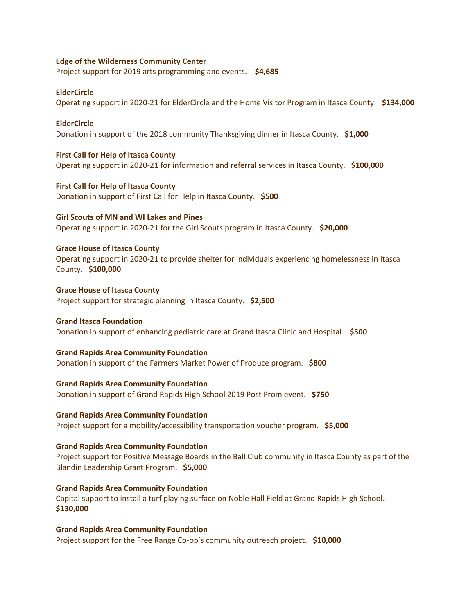### **Edge of the Wilderness Community Center**

Project support for 2019 arts programming and events. **\$4,685**

#### **ElderCircle**

Operating support in 2020-21 for ElderCircle and the Home Visitor Program in Itasca County. **\$134,000**

#### **ElderCircle**

Donation in support of the 2018 community Thanksgiving dinner in Itasca County. **\$1,000**

# **First Call for Help of Itasca County**

Operating support in 2020-21 for information and referral services in Itasca County. **\$100,000**

# **First Call for Help of Itasca County** Donation in support of First Call for Help in Itasca County. **\$500**

**Girl Scouts of MN and WI Lakes and Pines** Operating support in 2020-21 for the Girl Scouts program in Itasca County. **\$20,000**

# **Grace House of Itasca County**

Operating support in 2020-21 to provide shelter for individuals experiencing homelessness in Itasca County. **\$100,000**

# **Grace House of Itasca County** Project support for strategic planning in Itasca County. **\$2,500**

**Grand Itasca Foundation** Donation in support of enhancing pediatric care at Grand Itasca Clinic and Hospital. **\$500**

# **Grand Rapids Area Community Foundation**

Donation in support of the Farmers Market Power of Produce program. **\$800**

## **Grand Rapids Area Community Foundation**

Donation in support of Grand Rapids High School 2019 Post Prom event. **\$750**

#### **Grand Rapids Area Community Foundation**

Project support for a mobility/accessibility transportation voucher program. **\$5,000**

# **Grand Rapids Area Community Foundation**

Project support for Positive Message Boards in the Ball Club community in Itasca County as part of the Blandin Leadership Grant Program. **\$5,000**

#### **Grand Rapids Area Community Foundation**

Capital support to install a turf playing surface on Noble Hall Field at Grand Rapids High School. **\$130,000**

# **Grand Rapids Area Community Foundation**

Project support for the Free Range Co-op's community outreach project. **\$10,000**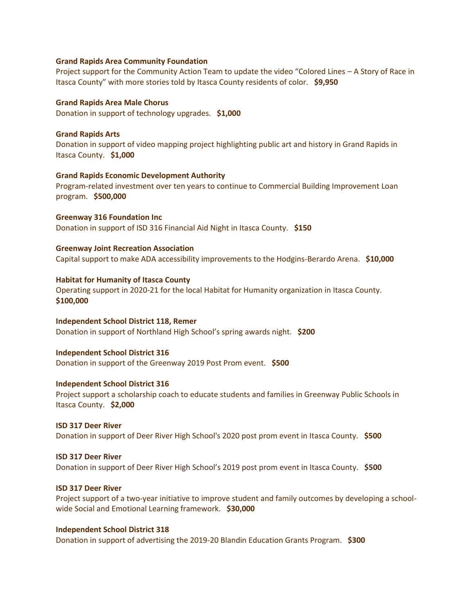#### **Grand Rapids Area Community Foundation**

Project support for the Community Action Team to update the video "Colored Lines – A Story of Race in Itasca County" with more stories told by Itasca County residents of color. **\$9,950**

**Grand Rapids Area Male Chorus** Donation in support of technology upgrades. **\$1,000**

**Grand Rapids Arts** Donation in support of video mapping project highlighting public art and history in Grand Rapids in Itasca County. **\$1,000**

#### **Grand Rapids Economic Development Authority**

Program-related investment over ten years to continue to Commercial Building Improvement Loan program. **\$500,000**

**Greenway 316 Foundation Inc** Donation in support of ISD 316 Financial Aid Night in Itasca County. **\$150**

# **Greenway Joint Recreation Association**

Capital support to make ADA accessibility improvements to the Hodgins-Berardo Arena. **\$10,000**

#### **Habitat for Humanity of Itasca County**

Operating support in 2020-21 for the local Habitat for Humanity organization in Itasca County. **\$100,000**

**Independent School District 118, Remer** Donation in support of Northland High School's spring awards night. **\$200**

#### **Independent School District 316**

Donation in support of the Greenway 2019 Post Prom event. **\$500**

## **Independent School District 316**

Project support a scholarship coach to educate students and families in Greenway Public Schools in Itasca County. **\$2,000**

**ISD 317 Deer River** Donation in support of Deer River High School's 2020 post prom event in Itasca County. **\$500**

**ISD 317 Deer River** Donation in support of Deer River High School's 2019 post prom event in Itasca County. **\$500**

#### **ISD 317 Deer River**

Project support of a two-year initiative to improve student and family outcomes by developing a schoolwide Social and Emotional Learning framework. **\$30,000**

#### **Independent School District 318**

Donation in support of advertising the 2019-20 Blandin Education Grants Program. **\$300**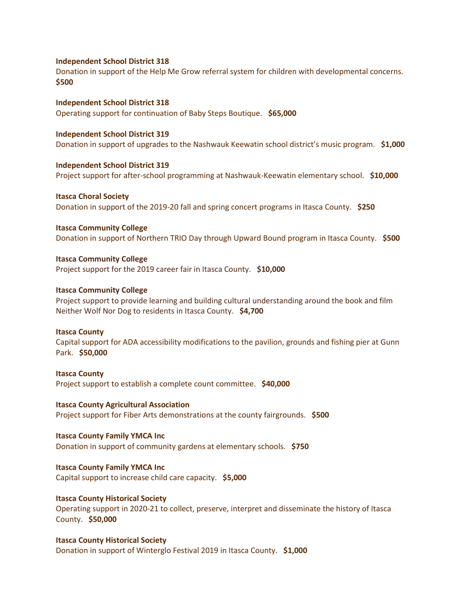#### **Independent School District 318**

Donation in support of the Help Me Grow referral system for children with developmental concerns. **\$500**

**Independent School District 318** Operating support for continuation of Baby Steps Boutique. **\$65,000**

#### **Independent School District 319**

Donation in support of upgrades to the Nashwauk Keewatin school district's music program. **\$1,000**

#### **Independent School District 319**

Project support for after-school programming at Nashwauk-Keewatin elementary school. **\$10,000**

# **Itasca Choral Society**

Donation in support of the 2019-20 fall and spring concert programs in Itasca County. **\$250**

**Itasca Community College** Donation in support of Northern TRIO Day through Upward Bound program in Itasca County. **\$500**

# **Itasca Community College** Project support for the 2019 career fair in Itasca County. **\$10,000**

# **Itasca Community College**

Project support to provide learning and building cultural understanding around the book and film Neither Wolf Nor Dog to residents in Itasca County. **\$4,700**

# **Itasca County**

Capital support for ADA accessibility modifications to the pavilion, grounds and fishing pier at Gunn Park. **\$50,000**

# **Itasca County**

Project support to establish a complete count committee. **\$40,000**

# **Itasca County Agricultural Association**

Project support for Fiber Arts demonstrations at the county fairgrounds. **\$500**

#### **Itasca County Family YMCA Inc**

Donation in support of community gardens at elementary schools. **\$750**

# **Itasca County Family YMCA Inc**

Capital support to increase child care capacity. **\$5,000**

# **Itasca County Historical Society**

Operating support in 2020-21 to collect, preserve, interpret and disseminate the history of Itasca County. **\$50,000**

# **Itasca County Historical Society** Donation in support of Winterglo Festival 2019 in Itasca County. **\$1,000**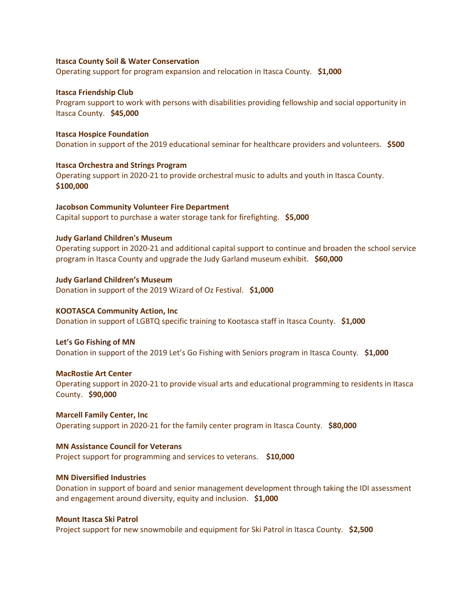#### **Itasca County Soil & Water Conservation**

Operating support for program expansion and relocation in Itasca County. **\$1,000**

#### **Itasca Friendship Club**

Program support to work with persons with disabilities providing fellowship and social opportunity in Itasca County. **\$45,000**

#### **Itasca Hospice Foundation**

Donation in support of the 2019 educational seminar for healthcare providers and volunteers. **\$500**

#### **Itasca Orchestra and Strings Program**

Operating support in 2020-21 to provide orchestral music to adults and youth in Itasca County. **\$100,000**

# **Jacobson Community Volunteer Fire Department** Capital support to purchase a water storage tank for firefighting. **\$5,000**

## **Judy Garland Children's Museum**

Operating support in 2020-21 and additional capital support to continue and broaden the school service program in Itasca County and upgrade the Judy Garland museum exhibit. **\$60,000**

# **Judy Garland Children's Museum** Donation in support of the 2019 Wizard of Oz Festival. **\$1,000**

# **KOOTASCA Community Action, Inc** Donation in support of LGBTQ specific training to Kootasca staff in Itasca County. **\$1,000**

#### **Let's Go Fishing of MN**

Donation in support of the 2019 Let's Go Fishing with Seniors program in Itasca County. **\$1,000**

#### **MacRostie Art Center**

Operating support in 2020-21 to provide visual arts and educational programming to residents in Itasca County. **\$90,000**

#### **Marcell Family Center, Inc** Operating support in 2020-21 for the family center program in Itasca County. **\$80,000**

#### **MN Assistance Council for Veterans**

Project support for programming and services to veterans. **\$10,000**

# **MN Diversified Industries**

Donation in support of board and senior management development through taking the IDI assessment and engagement around diversity, equity and inclusion. **\$1,000**

#### **Mount Itasca Ski Patrol**

Project support for new snowmobile and equipment for Ski Patrol in Itasca County. **\$2,500**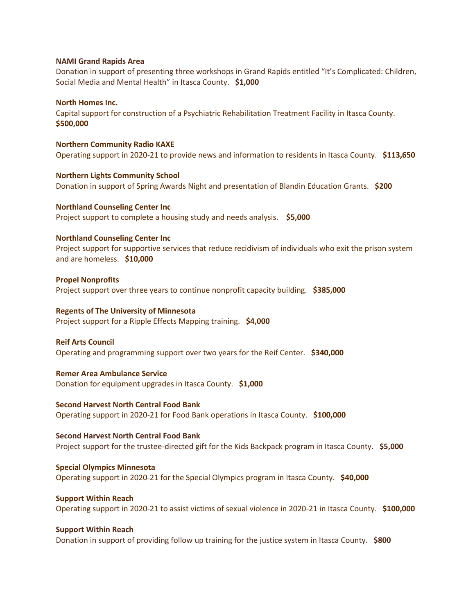#### **NAMI Grand Rapids Area**

Donation in support of presenting three workshops in Grand Rapids entitled "It's Complicated: Children, Social Media and Mental Health" in Itasca County. **\$1,000**

#### **North Homes Inc.**

Capital support for construction of a Psychiatric Rehabilitation Treatment Facility in Itasca County. **\$500,000**

**Northern Community Radio KAXE** Operating support in 2020-21 to provide news and information to residents in Itasca County. **\$113,650**

**Northern Lights Community School** Donation in support of Spring Awards Night and presentation of Blandin Education Grants. **\$200**

**Northland Counseling Center Inc** Project support to complete a housing study and needs analysis. **\$5,000**

## **Northland Counseling Center Inc**

Project support for supportive services that reduce recidivism of individuals who exit the prison system and are homeless. **\$10,000**

#### **Propel Nonprofits**

Project support over three years to continue nonprofit capacity building. **\$385,000**

#### **Regents of The University of Minnesota**

Project support for a Ripple Effects Mapping training. **\$4,000**

#### **Reif Arts Council**

Operating and programming support over two years for the Reif Center. **\$340,000**

## **Remer Area Ambulance Service**

Donation for equipment upgrades in Itasca County. **\$1,000**

#### **Second Harvest North Central Food Bank**

Operating support in 2020-21 for Food Bank operations in Itasca County. **\$100,000**

#### **Second Harvest North Central Food Bank**

Project support for the trustee-directed gift for the Kids Backpack program in Itasca County. **\$5,000** 

# **Special Olympics Minnesota**

Operating support in 2020-21 for the Special Olympics program in Itasca County. **\$40,000**

# **Support Within Reach**

Operating support in 2020-21 to assist victims of sexual violence in 2020-21 in Itasca County. **\$100,000**

#### **Support Within Reach**

Donation in support of providing follow up training for the justice system in Itasca County. **\$800**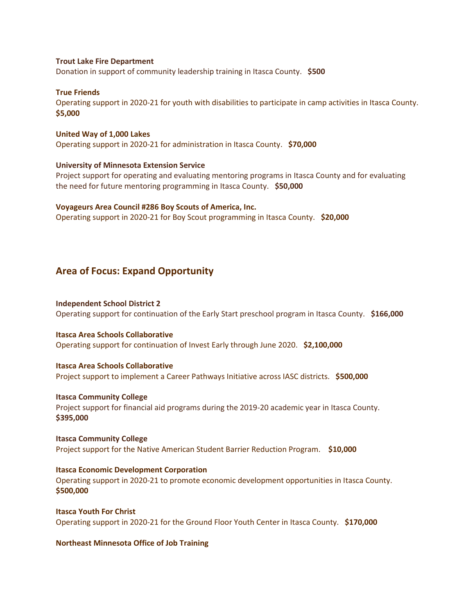## **Trout Lake Fire Department**

Donation in support of community leadership training in Itasca County. **\$500**

#### **True Friends**

Operating support in 2020-21 for youth with disabilities to participate in camp activities in Itasca County. **\$5,000**

#### **United Way of 1,000 Lakes**

Operating support in 2020-21 for administration in Itasca County. **\$70,000**

#### **University of Minnesota Extension Service**

Project support for operating and evaluating mentoring programs in Itasca County and for evaluating the need for future mentoring programming in Itasca County. **\$50,000**

#### **Voyageurs Area Council #286 Boy Scouts of America, Inc.**

Operating support in 2020-21 for Boy Scout programming in Itasca County. **\$20,000**

# **Area of Focus: Expand Opportunity**

# **Independent School District 2**

Operating support for continuation of the Early Start preschool program in Itasca County. **\$166,000**

#### **Itasca Area Schools Collaborative**

Operating support for continuation of Invest Early through June 2020. **\$2,100,000**

# **Itasca Area Schools Collaborative**

Project support to implement a Career Pathways Initiative across IASC districts. **\$500,000**

#### **Itasca Community College**

Project support for financial aid programs during the 2019-20 academic year in Itasca County. **\$395,000**

# **Itasca Community College**

Project support for the Native American Student Barrier Reduction Program. **\$10,000**

#### **Itasca Economic Development Corporation**

Operating support in 2020-21 to promote economic development opportunities in Itasca County. **\$500,000**

# **Itasca Youth For Christ** Operating support in 2020-21 for the Ground Floor Youth Center in Itasca County. **\$170,000**

# **Northeast Minnesota Office of Job Training**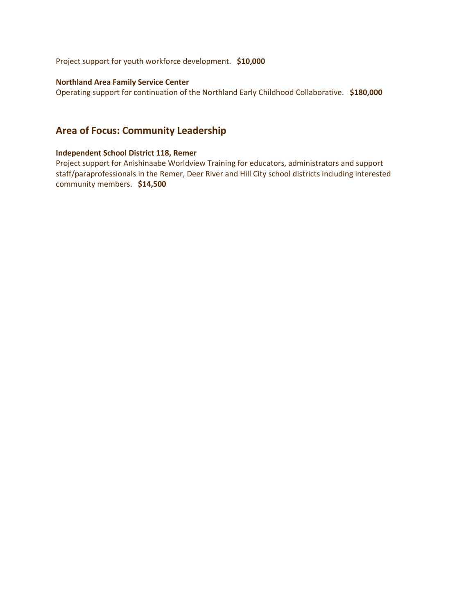Project support for youth workforce development. **\$10,000**

# **Northland Area Family Service Center**

Operating support for continuation of the Northland Early Childhood Collaborative. **\$180,000**

# **Area of Focus: Community Leadership**

# **Independent School District 118, Remer**

Project support for Anishinaabe Worldview Training for educators, administrators and support staff/paraprofessionals in the Remer, Deer River and Hill City school districts including interested community members. **\$14,500**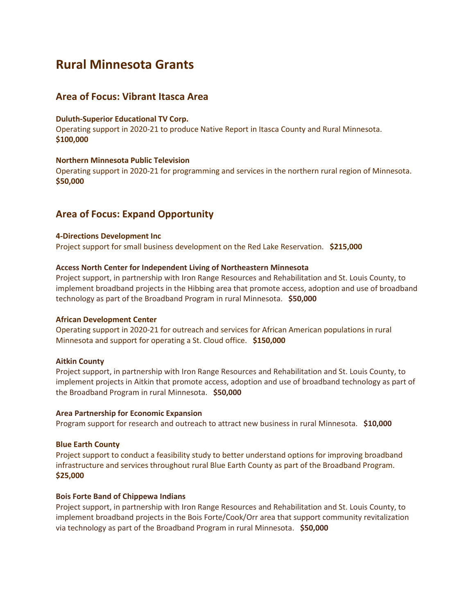# **Rural Minnesota Grants**

# **Area of Focus: Vibrant Itasca Area**

## **Duluth-Superior Educational TV Corp.**

Operating support in 2020-21 to produce Native Report in Itasca County and Rural Minnesota. **\$100,000**

# **Northern Minnesota Public Television**

Operating support in 2020-21 for programming and services in the northern rural region of Minnesota. **\$50,000**

# **Area of Focus: Expand Opportunity**

### **4-Directions Development Inc**

Project support for small business development on the Red Lake Reservation. **\$215,000**

## **Access North Center for Independent Living of Northeastern Minnesota**

Project support, in partnership with Iron Range Resources and Rehabilitation and St. Louis County, to implement broadband projects in the Hibbing area that promote access, adoption and use of broadband technology as part of the Broadband Program in rural Minnesota. **\$50,000**

#### **African Development Center**

Operating support in 2020-21 for outreach and services for African American populations in rural Minnesota and support for operating a St. Cloud office. **\$150,000**

#### **Aitkin County**

Project support, in partnership with Iron Range Resources and Rehabilitation and St. Louis County, to implement projects in Aitkin that promote access, adoption and use of broadband technology as part of the Broadband Program in rural Minnesota. **\$50,000**

#### **Area Partnership for Economic Expansion**

Program support for research and outreach to attract new business in rural Minnesota. **\$10,000**

#### **Blue Earth County**

Project support to conduct a feasibility study to better understand options for improving broadband infrastructure and services throughout rural Blue Earth County as part of the Broadband Program. **\$25,000**

#### **Bois Forte Band of Chippewa Indians**

Project support, in partnership with Iron Range Resources and Rehabilitation and St. Louis County, to implement broadband projects in the Bois Forte/Cook/Orr area that support community revitalization via technology as part of the Broadband Program in rural Minnesota. **\$50,000**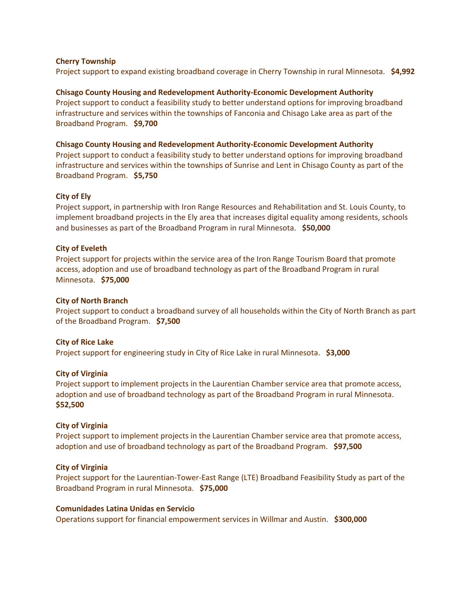# **Cherry Township**

Project support to expand existing broadband coverage in Cherry Township in rural Minnesota. **\$4,992**

**Chisago County Housing and Redevelopment Authority-Economic Development Authority** Project support to conduct a feasibility study to better understand options for improving broadband infrastructure and services within the townships of Fanconia and Chisago Lake area as part of the Broadband Program. **\$9,700**

## **Chisago County Housing and Redevelopment Authority-Economic Development Authority**

Project support to conduct a feasibility study to better understand options for improving broadband infrastructure and services within the townships of Sunrise and Lent in Chisago County as part of the Broadband Program. **\$5,750**

# **City of Ely**

Project support, in partnership with Iron Range Resources and Rehabilitation and St. Louis County, to implement broadband projects in the Ely area that increases digital equality among residents, schools and businesses as part of the Broadband Program in rural Minnesota. **\$50,000**

# **City of Eveleth**

Project support for projects within the service area of the Iron Range Tourism Board that promote access, adoption and use of broadband technology as part of the Broadband Program in rural Minnesota. **\$75,000**

# **City of North Branch**

Project support to conduct a broadband survey of all households within the City of North Branch as part of the Broadband Program. **\$7,500**

# **City of Rice Lake**

Project support for engineering study in City of Rice Lake in rural Minnesota. **\$3,000**

# **City of Virginia**

Project support to implement projects in the Laurentian Chamber service area that promote access, adoption and use of broadband technology as part of the Broadband Program in rural Minnesota. **\$52,500**

# **City of Virginia**

Project support to implement projects in the Laurentian Chamber service area that promote access, adoption and use of broadband technology as part of the Broadband Program. **\$97,500**

# **City of Virginia**

Project support for the Laurentian-Tower-East Range (LTE) Broadband Feasibility Study as part of the Broadband Program in rural Minnesota. **\$75,000**

# **Comunidades Latina Unidas en Servicio**

Operations support for financial empowerment services in Willmar and Austin. **\$300,000**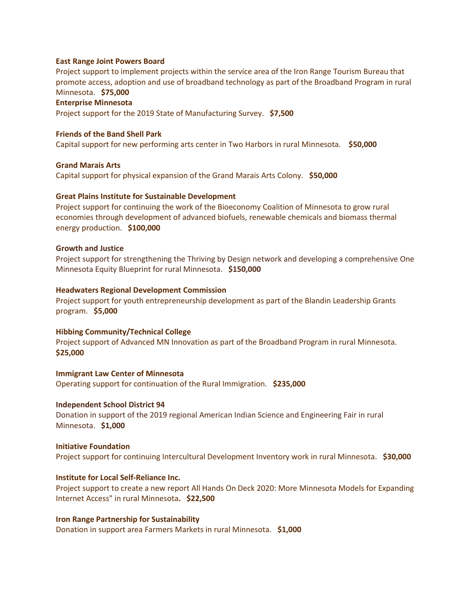#### **East Range Joint Powers Board**

Project support to implement projects within the service area of the Iron Range Tourism Bureau that promote access, adoption and use of broadband technology as part of the Broadband Program in rural Minnesota. **\$75,000**

# **Enterprise Minnesota**

Project support for the 2019 State of Manufacturing Survey. **\$7,500**

# **Friends of the Band Shell Park**

Capital support for new performing arts center in Two Harbors in rural Minnesota. **\$50,000**

#### **Grand Marais Arts**

Capital support for physical expansion of the Grand Marais Arts Colony. **\$50,000**

#### **Great Plains Institute for Sustainable Development**

Project support for continuing the work of the Bioeconomy Coalition of Minnesota to grow rural economies through development of advanced biofuels, renewable chemicals and biomass thermal energy production. **\$100,000**

#### **Growth and Justice**

Project support for strengthening the Thriving by Design network and developing a comprehensive One Minnesota Equity Blueprint for rural Minnesota. **\$150,000**

#### **Headwaters Regional Development Commission**

Project support for youth entrepreneurship development as part of the Blandin Leadership Grants program. **\$5,000**

# **Hibbing Community/Technical College**

Project support of Advanced MN Innovation as part of the Broadband Program in rural Minnesota. **\$25,000**

#### **Immigrant Law Center of Minnesota**

Operating support for continuation of the Rural Immigration. **\$235,000**

#### **Independent School District 94**

Donation in support of the 2019 regional American Indian Science and Engineering Fair in rural Minnesota. **\$1,000**

#### **Initiative Foundation**

Project support for continuing Intercultural Development Inventory work in rural Minnesota. **\$30,000**

# **Institute for Local Self-Reliance Inc.**

Project support to create a new report All Hands On Deck 2020: More Minnesota Models for Expanding Internet Access" in rural Minnesota**. \$22,500**

#### **Iron Range Partnership for Sustainability**

Donation in support area Farmers Markets in rural Minnesota. **\$1,000**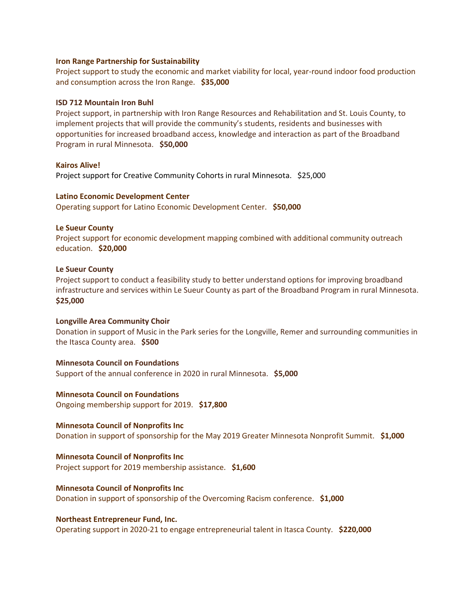#### **Iron Range Partnership for Sustainability**

Project support to study the economic and market viability for local, year-round indoor food production and consumption across the Iron Range. **\$35,000**

#### **ISD 712 Mountain Iron Buhl**

Project support, in partnership with Iron Range Resources and Rehabilitation and St. Louis County, to implement projects that will provide the community's students, residents and businesses with opportunities for increased broadband access, knowledge and interaction as part of the Broadband Program in rural Minnesota. **\$50,000**

#### **Kairos Alive!**

Project support for Creative Community Cohorts in rural Minnesota. \$25,000

#### **Latino Economic Development Center**

Operating support for Latino Economic Development Center. **\$50,000**

#### **Le Sueur County**

Project support for economic development mapping combined with additional community outreach education. **\$20,000**

#### **Le Sueur County**

Project support to conduct a feasibility study to better understand options for improving broadband infrastructure and services within Le Sueur County as part of the Broadband Program in rural Minnesota. **\$25,000**

#### **Longville Area Community Choir**

Donation in support of Music in the Park series for the Longville, Remer and surrounding communities in the Itasca County area. **\$500**

#### **Minnesota Council on Foundations**

Support of the annual conference in 2020 in rural Minnesota. **\$5,000**

# **Minnesota Council on Foundations**

Ongoing membership support for 2019. **\$17,800**

# **Minnesota Council of Nonprofits Inc**

Donation in support of sponsorship for the May 2019 Greater Minnesota Nonprofit Summit. **\$1,000**

#### **Minnesota Council of Nonprofits Inc**

Project support for 2019 membership assistance. **\$1,600**

#### **Minnesota Council of Nonprofits Inc**

Donation in support of sponsorship of the Overcoming Racism conference. **\$1,000**

#### **Northeast Entrepreneur Fund, Inc.**

Operating support in 2020-21 to engage entrepreneurial talent in Itasca County. **\$220,000**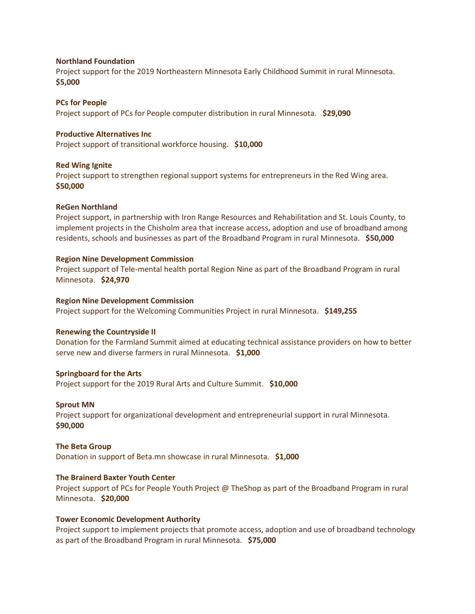### **Northland Foundation**

Project support for the 2019 Northeastern Minnesota Early Childhood Summit in rural Minnesota. **\$5,000**

**PCs for People** Project support of PCs for People computer distribution in rural Minnesota. **\$29,090**

# **Productive Alternatives Inc**

Project support of transitional workforce housing. **\$10,000**

# **Red Wing Ignite**

Project support to strengthen regional support systems for entrepreneurs in the Red Wing area. **\$50,000**

# **ReGen Northland**

Project support, in partnership with Iron Range Resources and Rehabilitation and St. Louis County, to implement projects in the Chisholm area that increase access, adoption and use of broadband among residents, schools and businesses as part of the Broadband Program in rural Minnesota. **\$50,000**

# **Region Nine Development Commission**

Project support of Tele-mental health portal Region Nine as part of the Broadband Program in rural Minnesota. **\$24,970**

# **Region Nine Development Commission**

Project support for the Welcoming Communities Project in rural Minnesota. **\$149,255**

#### **Renewing the Countryside II**

Donation for the Farmland Summit aimed at educating technical assistance providers on how to better serve new and diverse farmers in rural Minnesota. **\$1,000**

# **Springboard for the Arts**

Project support for the 2019 Rural Arts and Culture Summit. **\$10,000**

#### **Sprout MN**

Project support for organizational development and entrepreneurial support in rural Minnesota. **\$90,000**

#### **The Beta Group**

Donation in support of Beta.mn showcase in rural Minnesota. **\$1,000**

# **The Brainerd Baxter Youth Center**

Project support of PCs for People Youth Project @ TheShop as part of the Broadband Program in rural Minnesota. **\$20,000**

# **Tower Economic Development Authority**

Project support to implement projects that promote access, adoption and use of broadband technology as part of the Broadband Program in rural Minnesota. **\$75,000**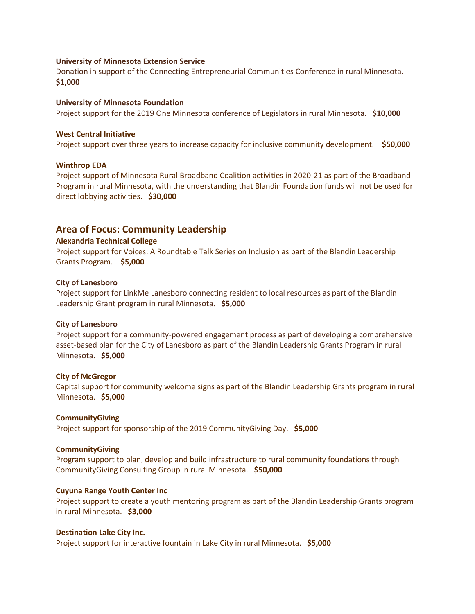#### **University of Minnesota Extension Service**

Donation in support of the Connecting Entrepreneurial Communities Conference in rural Minnesota. **\$1,000**

#### **University of Minnesota Foundation**

Project support for the 2019 One Minnesota conference of Legislators in rural Minnesota. **\$10,000**

### **West Central Initiative**

Project support over three years to increase capacity for inclusive community development. **\$50,000**

#### **Winthrop EDA**

Project support of Minnesota Rural Broadband Coalition activities in 2020-21 as part of the Broadband Program in rural Minnesota, with the understanding that Blandin Foundation funds will not be used for direct lobbying activities. **\$30,000**

# **Area of Focus: Community Leadership**

### **Alexandria Technical College**

Project support for Voices: A Roundtable Talk Series on Inclusion as part of the Blandin Leadership Grants Program. **\$5,000**

#### **City of Lanesboro**

Project support for LinkMe Lanesboro connecting resident to local resources as part of the Blandin Leadership Grant program in rural Minnesota. **\$5,000**

## **City of Lanesboro**

Project support for a community-powered engagement process as part of developing a comprehensive asset-based plan for the City of Lanesboro as part of the Blandin Leadership Grants Program in rural Minnesota. **\$5,000**

#### **City of McGregor**

Capital support for community welcome signs as part of the Blandin Leadership Grants program in rural Minnesota. **\$5,000**

#### **CommunityGiving**

Project support for sponsorship of the 2019 CommunityGiving Day. **\$5,000**

## **CommunityGiving**

Program support to plan, develop and build infrastructure to rural community foundations through CommunityGiving Consulting Group in rural Minnesota. **\$50,000**

#### **Cuyuna Range Youth Center Inc**

Project support to create a youth mentoring program as part of the Blandin Leadership Grants program in rural Minnesota. **\$3,000**

#### **Destination Lake City Inc.**

Project support for interactive fountain in Lake City in rural Minnesota. **\$5,000**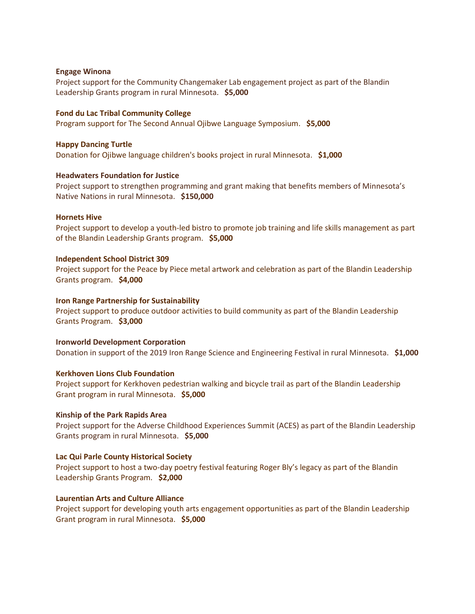#### **Engage Winona**

Project support for the Community Changemaker Lab engagement project as part of the Blandin Leadership Grants program in rural Minnesota. **\$5,000**

#### **Fond du Lac Tribal Community College**

Program support for The Second Annual Ojibwe Language Symposium. **\$5,000**

#### **Happy Dancing Turtle**

Donation for Ojibwe language children's books project in rural Minnesota. **\$1,000**

#### **Headwaters Foundation for Justice**

Project support to strengthen programming and grant making that benefits members of Minnesota's Native Nations in rural Minnesota. **\$150,000**

#### **Hornets Hive**

Project support to develop a youth-led bistro to promote job training and life skills management as part of the Blandin Leadership Grants program. **\$5,000**

#### **Independent School District 309**

Project support for the Peace by Piece metal artwork and celebration as part of the Blandin Leadership Grants program. **\$4,000**

#### **Iron Range Partnership for Sustainability**

Project support to produce outdoor activities to build community as part of the Blandin Leadership Grants Program. **\$3,000**

#### **Ironworld Development Corporation**

Donation in support of the 2019 Iron Range Science and Engineering Festival in rural Minnesota. **\$1,000**

#### **Kerkhoven Lions Club Foundation**

Project support for Kerkhoven pedestrian walking and bicycle trail as part of the Blandin Leadership Grant program in rural Minnesota. **\$5,000**

#### **Kinship of the Park Rapids Area**

Project support for the Adverse Childhood Experiences Summit (ACES) as part of the Blandin Leadership Grants program in rural Minnesota. **\$5,000**

#### **Lac Qui Parle County Historical Society**

Project support to host a two-day poetry festival featuring Roger Bly's legacy as part of the Blandin Leadership Grants Program. **\$2,000**

# **Laurentian Arts and Culture Alliance**

Project support for developing youth arts engagement opportunities as part of the Blandin Leadership Grant program in rural Minnesota. **\$5,000**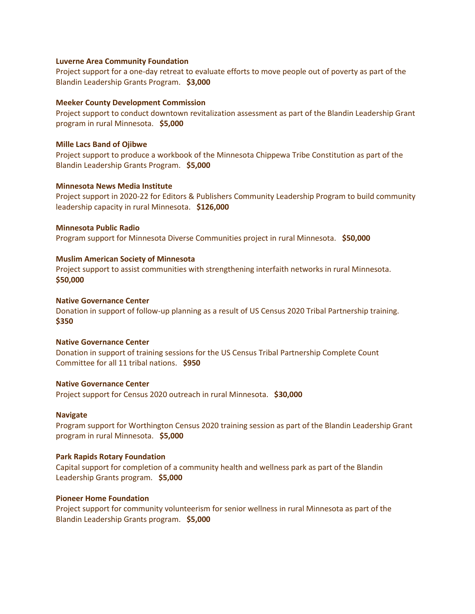#### **Luverne Area Community Foundation**

Project support for a one-day retreat to evaluate efforts to move people out of poverty as part of the Blandin Leadership Grants Program. **\$3,000**

## **Meeker County Development Commission**

Project support to conduct downtown revitalization assessment as part of the Blandin Leadership Grant program in rural Minnesota. **\$5,000**

#### **Mille Lacs Band of Ojibwe**

Project support to produce a workbook of the Minnesota Chippewa Tribe Constitution as part of the Blandin Leadership Grants Program. **\$5,000**

#### **Minnesota News Media Institute**

Project support in 2020-22 for Editors & Publishers Community Leadership Program to build community leadership capacity in rural Minnesota. **\$126,000**

#### **Minnesota Public Radio**

Program support for Minnesota Diverse Communities project in rural Minnesota. **\$50,000**

#### **Muslim American Society of Minnesota**

Project support to assist communities with strengthening interfaith networks in rural Minnesota. **\$50,000**

#### **Native Governance Center**

Donation in support of follow-up planning as a result of US Census 2020 Tribal Partnership training. **\$350**

### **Native Governance Center**

Donation in support of training sessions for the US Census Tribal Partnership Complete Count Committee for all 11 tribal nations. **\$950**

# **Native Governance Center**

Project support for Census 2020 outreach in rural Minnesota. **\$30,000**

#### **Navigate**

Program support for Worthington Census 2020 training session as part of the Blandin Leadership Grant program in rural Minnesota. **\$5,000**

### **Park Rapids Rotary Foundation**

Capital support for completion of a community health and wellness park as part of the Blandin Leadership Grants program. **\$5,000**

# **Pioneer Home Foundation**

Project support for community volunteerism for senior wellness in rural Minnesota as part of the Blandin Leadership Grants program. **\$5,000**